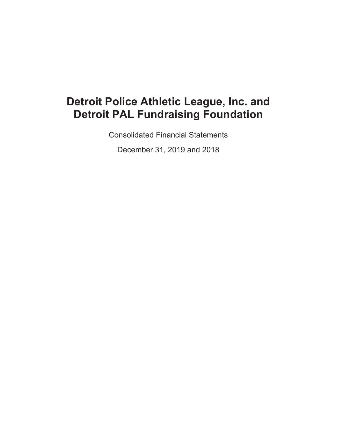Consolidated Financial Statements

December 31, 2019 and 2018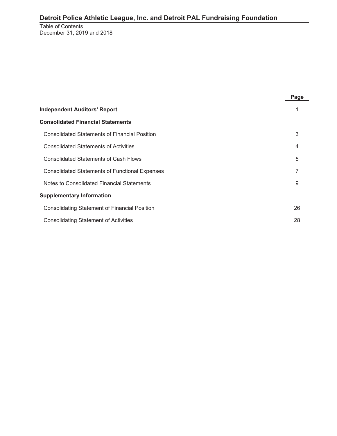Table of Contents December 31, 2019 and 2018

| <b>Independent Auditors' Report</b>                   |    |  |  |  |  |
|-------------------------------------------------------|----|--|--|--|--|
| <b>Consolidated Financial Statements</b>              |    |  |  |  |  |
| <b>Consolidated Statements of Financial Position</b>  | 3  |  |  |  |  |
| <b>Consolidated Statements of Activities</b>          | 4  |  |  |  |  |
| <b>Consolidated Statements of Cash Flows</b>          | 5  |  |  |  |  |
| <b>Consolidated Statements of Functional Expenses</b> | 7  |  |  |  |  |
| Notes to Consolidated Financial Statements            | 9  |  |  |  |  |
| <b>Supplementary Information</b>                      |    |  |  |  |  |
| <b>Consolidating Statement of Financial Position</b>  | 26 |  |  |  |  |
| <b>Consolidating Statement of Activities</b>          | 28 |  |  |  |  |

**Page**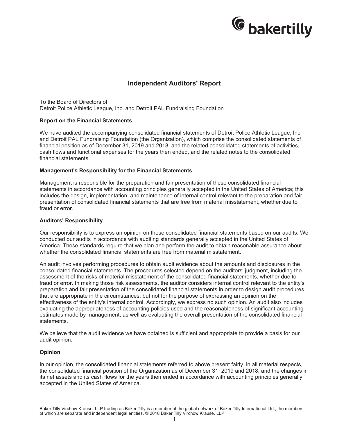

## **Independent Auditors' Report**

To the Board of Directors of Detroit Police Athletic League, Inc. and Detroit PAL Fundraising Foundation

#### **Report on the Financial Statements**

We have audited the accompanying consolidated financial statements of Detroit Police Athletic League, Inc. and Detroit PAL Fundraising Foundation (the Organization), which comprise the consolidated statements of financial position as of December 31, 2019 and 2018, and the related consolidated statements of activities, cash flows and functional expenses for the years then ended, and the related notes to the consolidated financial statements.

#### **Management's Responsibility for the Financial Statements**

Management is responsible for the preparation and fair presentation of these consolidated financial statements in accordance with accounting principles generally accepted in the United States of America; this includes the design, implementation, and maintenance of internal control relevant to the preparation and fair presentation of consolidated financial statements that are free from material misstatement, whether due to fraud or error.

#### **Auditors' Responsibility**

Our responsibility is to express an opinion on these consolidated financial statements based on our audits. We conducted our audits in accordance with auditing standards generally accepted in the United States of America. Those standards require that we plan and perform the audit to obtain reasonable assurance about whether the consolidated financial statements are free from material misstatement.

An audit involves performing procedures to obtain audit evidence about the amounts and disclosures in the consolidated financial statements. The procedures selected depend on the auditors' judgment, including the assessment of the risks of material misstatement of the consolidated financial statements, whether due to fraud or error. In making those risk assessments, the auditor considers internal control relevant to the entity's preparation and fair presentation of the consolidated financial statements in order to design audit procedures that are appropriate in the circumstances, but not for the purpose of expressing an opinion on the effectiveness of the entity's internal control. Accordingly, we express no such opinion. An audit also includes evaluating the appropriateness of accounting policies used and the reasonableness of significant accounting estimates made by management, as well as evaluating the overall presentation of the consolidated financial statements.

We believe that the audit evidence we have obtained is sufficient and appropriate to provide a basis for our audit opinion.

#### **Opinion**

In our opinion, the consolidated financial statements referred to above present fairly, in all material respects, the consolidated financial position of the Organization as of December 31, 2019 and 2018, and the changes in its net assets and its cash flows for the years then ended in accordance with accounting principles generally accepted in the United States of America.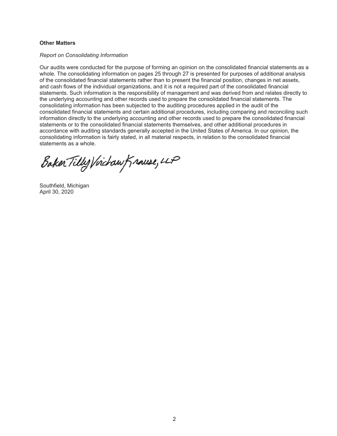## **Other Matters**

#### *Report on Consolidating Information*

Our audits were conducted for the purpose of forming an opinion on the consolidated financial statements as a whole. The consolidating information on pages 25 through 27 is presented for purposes of additional analysis of the consolidated financial statements rather than to present the financial position, changes in net assets, and cash flows of the individual organizations, and it is not a required part of the consolidated financial statements. Such information is the responsibility of management and was derived from and relates directly to the underlying accounting and other records used to prepare the consolidated financial statements. The consolidating information has been subjected to the auditing procedures applied in the audit of the consolidated financial statements and certain additional procedures, including comparing and reconciling such information directly to the underlying accounting and other records used to prepare the consolidated financial statements or to the consolidated financial statements themselves, and other additional procedures in accordance with auditing standards generally accepted in the United States of America. In our opinion, the consolidating information is fairly stated, in all material respects, in relation to the consolidated financial statements as a whole.

Baker Tilly Virchaw Krause, LLP

Southfield, Michigan April 30, 2020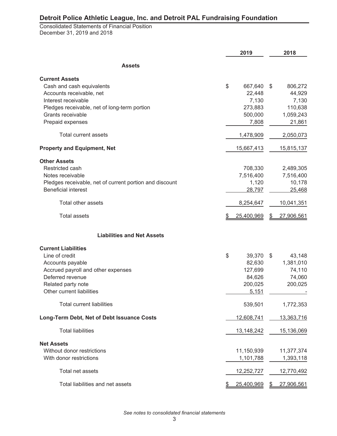Consolidated Statements of Financial Position December 31, 2019 and 2018

|                                                                                | 2019                    | 2018                      |
|--------------------------------------------------------------------------------|-------------------------|---------------------------|
| <b>Assets</b>                                                                  |                         |                           |
| <b>Current Assets</b><br>Cash and cash equivalents<br>Accounts receivable, net | \$<br>667,640<br>22,448 | \$<br>806,272<br>44,929   |
| Interest receivable                                                            | 7,130                   | 7,130                     |
| Pledges receivable, net of long-term portion                                   | 273,883                 | 110,638                   |
| Grants receivable<br>Prepaid expenses                                          | 500,000<br>7,808        | 1,059,243<br>21,861       |
| Total current assets                                                           | 1,478,909               | 2,050,073                 |
| <b>Property and Equipment, Net</b>                                             | 15,667,413              | 15,815,137                |
| <b>Other Assets</b><br>Restricted cash                                         |                         |                           |
| Notes receivable                                                               | 708,330<br>7,516,400    | 2,489,305<br>7,516,400    |
| Pledges receivable, net of current portion and discount                        | 1,120                   | 10,178                    |
| <b>Beneficial interest</b>                                                     | 28,797                  | 25,468                    |
| Total other assets                                                             | 8,254,647               | 10,041,351                |
| <b>Total assets</b>                                                            | \$<br>25,400,969        | \$<br>27,906,561          |
| <b>Liabilities and Net Assets</b>                                              |                         |                           |
| <b>Current Liabilities</b>                                                     |                         |                           |
| Line of credit<br>Accounts payable                                             | \$<br>39,370<br>82,630  | \$<br>43,148<br>1,381,010 |
| Accrued payroll and other expenses                                             | 127,699                 | 74,110                    |
| Deferred revenue                                                               | 84,626                  | 74,060                    |
| Related party note                                                             | 200,025                 | 200,025                   |
| Other current liabilities                                                      | 5,151                   |                           |
| <b>Total current liabilities</b>                                               | 539,501                 | 1,772,353                 |
| Long-Term Debt, Net of Debt Issuance Costs                                     | 12,608,741              | 13,363,716                |
| <b>Total liabilities</b>                                                       | 13, 148, 242            | 15,136,069                |
| <b>Net Assets</b>                                                              |                         |                           |
| Without donor restrictions<br>With donor restrictions                          | 11,150,939<br>1,101,788 | 11,377,374<br>1,393,118   |
| Total net assets                                                               | 12,252,727              | 12,770,492                |
| Total liabilities and net assets                                               | <u>25,400,969</u>       | 27,906,561                |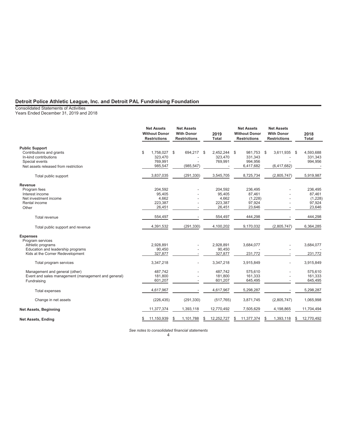Consolidated Statements of Activities

Years Ended December 31, 2019 and 2018

|                                                                     | <b>Net Assets</b><br><b>Without Donor</b><br><b>Restrictions</b> | <b>Net Assets</b><br><b>With Donor</b><br><b>Restrictions</b> | 2019<br><b>Total</b>                        | <b>Net Assets</b><br><b>Without Donor</b><br><b>Restrictions</b> | <b>Net Assets</b><br><b>With Donor</b><br><b>Restrictions</b> | 2018<br><b>Total</b>                   |
|---------------------------------------------------------------------|------------------------------------------------------------------|---------------------------------------------------------------|---------------------------------------------|------------------------------------------------------------------|---------------------------------------------------------------|----------------------------------------|
| <b>Public Support</b>                                               |                                                                  |                                                               |                                             |                                                                  |                                                               |                                        |
| Contributions and grants<br>In-kind contributions<br>Special events | \$<br>1,758,027<br>323,470<br>769,991                            | \$<br>694,217                                                 | 2,452,244<br><b>S</b><br>323,470<br>769,991 | \$<br>981.753<br>331,343<br>994,956                              | 3,611,935<br>-\$                                              | 4,593,688<br>-\$<br>331,343<br>994,956 |
| Net assets released from restriction                                | 985,547                                                          | (985, 547)                                                    |                                             | 6,417,682                                                        | (6, 417, 682)                                                 |                                        |
| Total public support                                                | 3,837,035                                                        | (291, 330)                                                    | 3,545,705                                   | 8,725,734                                                        | (2,805,747)                                                   | 5,919,987                              |
| Revenue                                                             |                                                                  |                                                               |                                             |                                                                  |                                                               |                                        |
| Program fees                                                        | 204,592                                                          |                                                               | 204.592                                     | 236.495                                                          |                                                               | 236,495                                |
| Interest income                                                     | 95,405                                                           |                                                               | 95,405                                      | 87,461                                                           |                                                               | 87,461                                 |
| Net investment income                                               | 4,662                                                            |                                                               | 4,662                                       | (1,228)                                                          |                                                               | (1,228)                                |
| Rental income                                                       | 223,387                                                          |                                                               | 223,387                                     | 97,924                                                           |                                                               | 97,924                                 |
| Other                                                               | 26,451                                                           |                                                               | 26,451                                      | 23,646                                                           |                                                               | 23,646                                 |
| Total revenue                                                       | 554,497                                                          |                                                               | 554,497                                     | 444,298                                                          |                                                               | 444,298                                |
| Total public support and revenue                                    | 4,391,532                                                        | (291, 330)                                                    | 4,100,202                                   | 9,170,032                                                        | (2,805,747)                                                   | 6,364,285                              |
| <b>Expenses</b>                                                     |                                                                  |                                                               |                                             |                                                                  |                                                               |                                        |
| Program services                                                    |                                                                  |                                                               |                                             |                                                                  |                                                               |                                        |
| Athletic programs                                                   | 2,928,891                                                        |                                                               | 2,928,891                                   | 3,684,077                                                        |                                                               | 3,684,077                              |
| Education and leadership programs                                   | 90.450                                                           |                                                               | 90.450                                      |                                                                  |                                                               |                                        |
| Kids at the Corner Redevelopment                                    | 327,877                                                          |                                                               | 327,877                                     | 231,772                                                          |                                                               | 231,772                                |
| Total program services                                              | 3,347,218                                                        |                                                               | 3,347,218                                   | 3,915,849                                                        |                                                               | 3,915,849                              |
| Management and general (other)                                      | 487,742                                                          |                                                               | 487.742                                     | 575,610                                                          |                                                               | 575,610                                |
| Event and sales management (management and general)                 | 181,800                                                          |                                                               | 181,800                                     | 161,333                                                          |                                                               | 161,333                                |
| Fundraising                                                         | 601,207                                                          |                                                               | 601,207                                     | 645,495                                                          |                                                               | 645,495                                |
| Total expenses                                                      | 4,617,967                                                        |                                                               | 4,617,967                                   | 5,298,287                                                        |                                                               | 5,298,287                              |
| Change in net assets                                                | (226, 435)                                                       | (291, 330)                                                    | (517, 765)                                  | 3,871,745                                                        | (2,805,747)                                                   | 1,065,998                              |
| Net Assets, Beginning                                               | 11,377,374                                                       | 1,393,118                                                     | 12,770,492                                  | 7,505,629                                                        | 4,198,865                                                     | 11,704,494                             |
| <b>Net Assets, Ending</b>                                           | 11,150,939<br>S                                                  | 1,101,788<br>S                                                | 12,252,727<br>S                             | 11,377,374<br>S                                                  | 1,393,118                                                     | 12,770,492<br>\$                       |

*See notes to consolidated financial statements*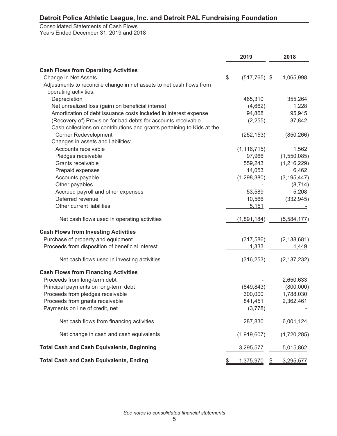Consolidated Statements of Cash Flows Years Ended December 31, 2019 and 2018

|                                                                        | 2019                  |           | 2018          |
|------------------------------------------------------------------------|-----------------------|-----------|---------------|
| <b>Cash Flows from Operating Activities</b>                            |                       |           |               |
| Change in Net Assets                                                   | \$<br>$(517, 765)$ \$ |           | 1,065,998     |
| Adjustments to reconcile change in net assets to net cash flows from   |                       |           |               |
| operating activities:                                                  |                       |           |               |
| Depreciation                                                           | 465,310               |           | 355,264       |
| Net unrealized loss (gain) on beneficial interest                      | (4,662)               |           | 1,228         |
| Amortization of debt issuance costs included in interest expense       | 94,868                |           | 95,945        |
| (Recovery of) Provision for bad debts for accounts receivable          | (2, 255)              |           | 37,842        |
| Cash collections on contributions and grants pertaining to Kids at the |                       |           |               |
| <b>Corner Redevelopment</b>                                            | (252, 153)            |           | (850, 266)    |
| Changes in assets and liabilities:                                     |                       |           |               |
| Accounts receivable                                                    | (1, 116, 715)         |           | 1,562         |
| Pledges receivable                                                     | 97,966                |           | (1,550,085)   |
| Grants receivable                                                      | 559,243               |           | (1,216,229)   |
| Prepaid expenses                                                       | 14,053                |           | 6,462         |
| Accounts payable                                                       | (1, 298, 380)         |           | (3, 195, 447) |
| Other payables                                                         |                       |           | (8, 714)      |
| Accrued payroll and other expenses                                     | 53,589                |           | 5,208         |
| Deferred revenue                                                       | 10,566                |           | (332, 945)    |
| Other current liabilities                                              | 5,151                 |           |               |
| Net cash flows used in operating activities                            | (1,891,184)           |           | (5,584,177)   |
| <b>Cash Flows from Investing Activities</b>                            |                       |           |               |
| Purchase of property and equipment                                     | (317, 586)            |           | (2, 138, 681) |
| Proceeds from disposition of beneficial interest                       | 1,333                 |           | 1,449         |
| Net cash flows used in investing activities                            | (316, 253)            |           | (2, 137, 232) |
| <b>Cash Flows from Financing Activities</b>                            |                       |           |               |
| Proceeds from long-term debt                                           |                       |           | 2,650,633     |
| Principal payments on long-term debt                                   | (849, 843)            |           | (800,000)     |
| Proceeds from pledges receivable                                       | 300,000               |           | 1,788,030     |
| Proceeds from grants receivable                                        | 841,451               |           | 2,362,461     |
| Payments on line of credit, net                                        | (3,778)               |           |               |
| Net cash flows from financing activities                               | 287,830               |           | 6,001,124     |
| Net change in cash and cash equivalents                                | (1,919,607)           |           | (1,720,285)   |
| <b>Total Cash and Cash Equivalents, Beginning</b>                      | 3,295,577             |           | 5,015,862     |
| <b>Total Cash and Cash Equivalents, Ending</b>                         | 1,375,970             | <u>\$</u> | 3,295,577     |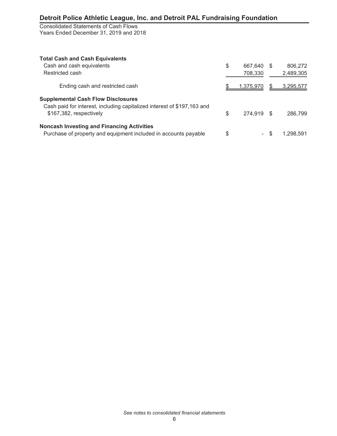Consolidated Statements of Cash Flows Years Ended December 31, 2019 and 2018

| <b>Total Cash and Cash Equivalents</b>                                  |               |     |           |
|-------------------------------------------------------------------------|---------------|-----|-----------|
| Cash and cash equivalents                                               | \$<br>667.640 | \$. | 806,272   |
| Restricted cash                                                         | 708,330       |     | 2,489,305 |
| Ending cash and restricted cash                                         | 1,375,970     | æ.  | 3,295,577 |
| <b>Supplemental Cash Flow Disclosures</b>                               |               |     |           |
| Cash paid for interest, including capitalized interest of \$197,163 and |               |     |           |
| \$167,382, respectively                                                 | \$<br>274,919 |     | 286,799   |
| <b>Noncash Investing and Financing Activities</b>                       |               |     |           |
| Purchase of property and equipment included in accounts payable         | \$            |     | 1.298.591 |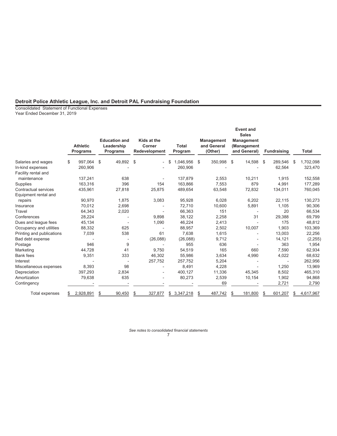Consolidated Statement of Functional Expenses Year Ended December 31, 2019

|                           | <b>Athletic</b><br><b>Programs</b> |    | <b>Education and</b><br>Leadership<br><b>Programs</b> | Kids at the<br>Corner<br>Redevelopment | <b>Total</b><br>Program | <b>Management</b><br>and General<br>(Other) | <b>Event and</b><br><b>Sales</b><br><b>Management</b><br>(Management<br>and General) | <b>Fundraising</b> |    | <b>Total</b> |
|---------------------------|------------------------------------|----|-------------------------------------------------------|----------------------------------------|-------------------------|---------------------------------------------|--------------------------------------------------------------------------------------|--------------------|----|--------------|
| Salaries and wages        | \$<br>997,064                      | \$ | 49,892                                                | \$                                     | 1,046,956               | \$<br>350,998                               | \$<br>14,598                                                                         | \$<br>289,546      | S  | 1,702,098    |
| In-kind expenses          | 260,906                            |    |                                                       |                                        | 260,906                 |                                             |                                                                                      | 62,564             |    | 323,470      |
| Facility rental and       |                                    |    |                                                       |                                        |                         |                                             |                                                                                      |                    |    |              |
| maintenance               | 137,241                            |    | 638                                                   |                                        | 137,879                 | 2.553                                       | 10,211                                                                               | 1,915              |    | 152,558      |
| Supplies                  | 163,316                            |    | 396                                                   | 154                                    | 163,866                 | 7,553                                       | 879                                                                                  | 4,991              |    | 177,289      |
| Contractual services      | 435,961                            |    | 27,818                                                | 25,875                                 | 489,654                 | 63,548                                      | 72,832                                                                               | 134,011            |    | 760,045      |
| Equipment rental and      |                                    |    |                                                       |                                        |                         |                                             |                                                                                      |                    |    |              |
| repairs                   | 90,970                             |    | 1,875                                                 | 3,083                                  | 95,928                  | 6,028                                       | 6,202                                                                                | 22,115             |    | 130,273      |
| Insurance                 | 70,012                             |    | 2,698                                                 |                                        | 72,710                  | 10,600                                      | 5,891                                                                                | 1,105              |    | 90,306       |
| Travel                    | 64,343                             |    | 2,020                                                 |                                        | 66,363                  | 151                                         |                                                                                      | 20                 |    | 66,534       |
| Conferences               | 28,224                             |    |                                                       | 9,898                                  | 38,122                  | 2,258                                       | 31                                                                                   | 29,388             |    | 69,799       |
| Dues and league fees      | 45,134                             |    |                                                       | 1,090                                  | 46,224                  | 2,413                                       |                                                                                      | 175                |    | 48,812       |
| Occupancy and utilities   | 88,332                             |    | 625                                                   |                                        | 88.957                  | 2,502                                       | 10,007                                                                               | 1.903              |    | 103,369      |
| Printing and publications | 7,039                              |    | 538                                                   | 61                                     | 7.638                   | 1,615                                       |                                                                                      | 13,003             |    | 22,256       |
| Bad debt expense          |                                    |    |                                                       | (26,088)                               | (26,088)                | 9,712                                       |                                                                                      | 14,121             |    | (2, 255)     |
| Postage                   | 946                                |    | 9                                                     |                                        | 955                     | 636                                         |                                                                                      | 363                |    | 1,954        |
| Marketing                 | 44.728                             |    | 41                                                    | 9.750                                  | 54.519                  | 165                                         | 660                                                                                  | 7.590              |    | 62,934       |
| <b>Bank</b> fees          | 9,351                              |    | 333                                                   | 46.302                                 | 55.986                  | 3,634                                       | 4,990                                                                                | 4,022              |    | 68,632       |
| Interest                  |                                    |    |                                                       | 257,752                                | 257,752                 | 5,204                                       |                                                                                      |                    |    | 262,956      |
| Miscellaneous expenses    | 8,393                              |    | 98                                                    |                                        | 8,491                   | 4,228                                       |                                                                                      | 1,250              |    | 13,969       |
| Depreciation              | 397,293                            |    | 2.834                                                 |                                        | 400.127                 | 11,336                                      | 45,345                                                                               | 8,502              |    | 465,310      |
| Amortization              | 79,638                             |    | 635                                                   |                                        | 80,273                  | 2,539                                       | 10,154                                                                               | 1,902              |    | 94,868       |
| Contingency               |                                    |    |                                                       |                                        |                         | 69                                          |                                                                                      | 2,721              |    | 2,790        |
| <b>Total expenses</b>     | 2,928,891                          | S  | 90,450                                                | \$<br>327,877                          | \$<br>3,347,218         | 487,742                                     | 181,800                                                                              | \$<br>601,207      | \$ | 4,617,967    |

*See notes to consolidated financial statements* 7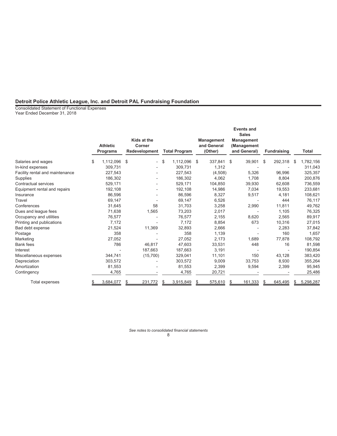Consolidated Statement of Functional Expenses Year Ended December 31, 2018

|                                 | <b>Athletic</b><br><b>Programs</b> | Kids at the<br>Corner<br>Redevelopment | <b>Total Program</b> |     | <b>Management</b><br>and General<br>(Other) | <b>Events and</b><br><b>Sales</b><br><b>Management</b><br>(Management<br>and General) | <b>Fundraising</b> |   | <b>Total</b> |
|---------------------------------|------------------------------------|----------------------------------------|----------------------|-----|---------------------------------------------|---------------------------------------------------------------------------------------|--------------------|---|--------------|
|                                 |                                    |                                        |                      |     |                                             |                                                                                       |                    |   |              |
| Salaries and wages              | \$<br>1,112,096                    | \$                                     | \$<br>1,112,096      | -\$ | 337.841                                     | \$<br>39,901                                                                          | \$<br>292,318      | S | 1,782,156    |
| In-kind expenses                | 309,731                            |                                        | 309,731              |     | 1,312                                       |                                                                                       |                    |   | 311,043      |
| Facility rental and maintenance | 227,543                            |                                        | 227,543              |     | (4,508)                                     | 5,326                                                                                 | 96,996             |   | 325,357      |
| Supplies                        | 186,302                            |                                        | 186,302              |     | 4.062                                       | 1.708                                                                                 | 8,804              |   | 200,876      |
| Contractual services            | 529,171                            |                                        | 529,171              |     | 104,850                                     | 39,930                                                                                | 62,608             |   | 736,559      |
| Equipment rental and repairs    | 192,108                            |                                        | 192,108              |     | 14,986                                      | 7,034                                                                                 | 19,553             |   | 233,681      |
| Insurance                       | 86,596                             |                                        | 86,596               |     | 8,327                                       | 9,517                                                                                 | 4,181              |   | 108,621      |
| Travel                          | 69,147                             |                                        | 69,147               |     | 6,526                                       |                                                                                       | 444                |   | 76,117       |
| Conferences                     | 31.645                             | 58                                     | 31.703               |     | 3,258                                       | 2,990                                                                                 | 11.811             |   | 49,762       |
| Dues and league fees            | 71,638                             | 1,565                                  | 73,203               |     | 2.017                                       |                                                                                       | 1,105              |   | 76,325       |
| Occupancy and utilities         | 76,577                             |                                        | 76,577               |     | 2,155                                       | 8,620                                                                                 | 2,565              |   | 89,917       |
| Printing and publications       | 7,172                              |                                        | 7.172                |     | 8,854                                       | 673                                                                                   | 10.316             |   | 27,015       |
| Bad debt expense                | 21,524                             | 11,369                                 | 32,893               |     | 2.666                                       |                                                                                       | 2,283              |   | 37,842       |
| Postage                         | 358                                |                                        | 358                  |     | 1,139                                       |                                                                                       | 160                |   | 1,657        |
| Marketing                       | 27,052                             |                                        | 27,052               |     | 2,173                                       | 1,689                                                                                 | 77,878             |   | 108,792      |
| <b>Bank fees</b>                | 786                                | 46.817                                 | 47,603               |     | 33,531                                      | 448                                                                                   | 16                 |   | 81,598       |
| Interest                        |                                    | 187,663                                | 187,663              |     | 3.191                                       | $\overline{a}$                                                                        |                    |   | 190,854      |
| Miscellaneous expenses          | 344,741                            | (15,700)                               | 329,041              |     | 11,101                                      | 150                                                                                   | 43,128             |   | 383,420      |
| Depreciation                    | 303.572                            |                                        | 303,572              |     | 9.009                                       | 33.753                                                                                | 8,930              |   | 355,264      |
| Amortization                    | 81,553                             |                                        | 81,553               |     | 2,399                                       | 9,594                                                                                 | 2,399              |   | 95,945       |
| Contingency                     | 4,765                              |                                        | 4,765                |     | 20,721                                      |                                                                                       |                    |   | 25,486       |
| Total expenses                  | 3,684,077                          | 231,772                                | 3,915,849            |     | 575,610                                     | 161,333                                                                               | 645,495            |   | 5,298,287    |

*See notes to consolidated financial statements* 8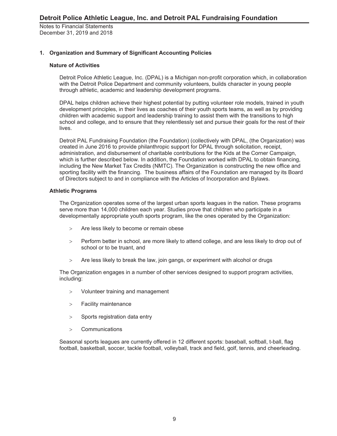## **1. Organization and Summary of Significant Accounting Policies**

## **Nature of Activities**

Detroit Police Athletic League, Inc. (DPAL) is a Michigan non-profit corporation which, in collaboration with the Detroit Police Department and community volunteers, builds character in young people through athletic, academic and leadership development programs.

DPAL helps children achieve their highest potential by putting volunteer role models, trained in youth development principles, in their lives as coaches of their youth sports teams, as well as by providing children with academic support and leadership training to assist them with the transitions to high school and college, and to ensure that they relentlessly set and pursue their goals for the rest of their lives.

Detroit PAL Fundraising Foundation (the Foundation) (collectively with DPAL, (the Organization) was created in June 2016 to provide philanthropic support for DPAL through solicitation, receipt, administration, and disbursement of charitable contributions for the Kids at the Corner Campaign, which is further described below. In addition, the Foundation worked with DPAL to obtain financing, including the New Market Tax Credits (NMTC). The Organization is constructing the new office and sporting facility with the financing. The business affairs of the Foundation are managed by its Board of Directors subject to and in compliance with the Articles of Incorporation and Bylaws.

### **Athletic Programs**

The Organization operates some of the largest urban sports leagues in the nation. These programs serve more than 14,000 children each year. Studies prove that children who participate in a developmentally appropriate youth sports program, like the ones operated by the Organization:

- Are less likely to become or remain obese
- Perform better in school, are more likely to attend college, and are less likely to drop out of school or to be truant, and
- Are less likely to break the law, join gangs, or experiment with alcohol or drugs

The Organization engages in a number of other services designed to support program activities, including:

- Volunteer training and management
- > Facility maintenance
- $>$  Sports registration data entry
- Communications

Seasonal sports leagues are currently offered in 12 different sports: baseball, softball, t-ball, flag football, basketball, soccer, tackle football, volleyball, track and field, golf, tennis, and cheerleading.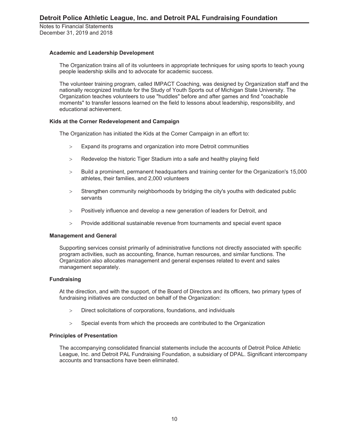## **Academic and Leadership Development**

The Organization trains all of its volunteers in appropriate techniques for using sports to teach young people leadership skills and to advocate for academic success.

The volunteer training program, called IMPACT Coaching, was designed by Organization staff and the nationally recognized Institute for the Study of Youth Sports out of Michigan State University. The Organization teaches volunteers to use "huddles" before and after games and find "coachable moments" to transfer lessons learned on the field to lessons about leadership, responsibility, and educational achievement.

### **Kids at the Corner Redevelopment and Campaign**

The Organization has initiated the Kids at the Comer Campaign in an effort to:

- Expand its programs and organization into more Detroit communities
- > Redevelop the historic Tiger Stadium into a safe and healthy playing field
- Build a prominent, permanent headquarters and training center for the Organization's 15,000 athletes, their families, and 2,000 volunteers
- Strengthen community neighborhoods by bridging the city's youths with dedicated public servants
- Positively influence and develop a new generation of leaders for Detroit, and
- Provide additional sustainable revenue from tournaments and special event space

#### **Management and General**

Supporting services consist primarily of administrative functions not directly associated with specific program activities, such as accounting, finance, human resources, and similar functions. The Organization also allocates management and general expenses related to event and sales management separately.

#### **Fundraising**

At the direction, and with the support, of the Board of Directors and its officers, two primary types of fundraising initiatives are conducted on behalf of the Organization:

- Direct solicitations of corporations, foundations, and individuals
- $>$  Special events from which the proceeds are contributed to the Organization

#### **Principles of Presentation**

The accompanying consolidated financial statements include the accounts of Detroit Police Athletic League, Inc. and Detroit PAL Fundraising Foundation, a subsidiary of DPAL. Significant intercompany accounts and transactions have been eliminated.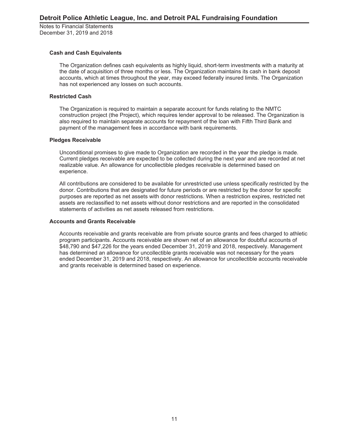### **Cash and Cash Equivalents**

The Organization defines cash equivalents as highly liquid, short-term investments with a maturity at the date of acquisition of three months or less. The Organization maintains its cash in bank deposit accounts, which at times throughout the year, may exceed federally insured limits. The Organization has not experienced any losses on such accounts.

#### **Restricted Cash**

The Organization is required to maintain a separate account for funds relating to the NMTC construction project (the Project), which requires lender approval to be released. The Organization is also required to maintain separate accounts for repayment of the loan with Fifth Third Bank and payment of the management fees in accordance with bank requirements.

### **Pledges Receivable**

Unconditional promises to give made to Organization are recorded in the year the pledge is made. Current pledges receivable are expected to be collected during the next year and are recorded at net realizable value. An allowance for uncollectible pledges receivable is determined based on experience.

All contributions are considered to be available for unrestricted use unless specifically restricted by the donor. Contributions that are designated for future periods or are restricted by the donor for specific purposes are reported as net assets with donor restrictions. When a restriction expires, restricted net assets are reclassified to net assets without donor restrictions and are reported in the consolidated statements of activities as net assets released from restrictions.

## **Accounts and Grants Receivable**

Accounts receivable and grants receivable are from private source grants and fees charged to athletic program participants. Accounts receivable are shown net of an allowance for doubtful accounts of \$48,790 and \$47,226 for the years ended December 31, 2019 and 2018, respectively. Management has determined an allowance for uncollectible grants receivable was not necessary for the years ended December 31, 2019 and 2018, respectively. An allowance for uncollectible accounts receivable and grants receivable is determined based on experience.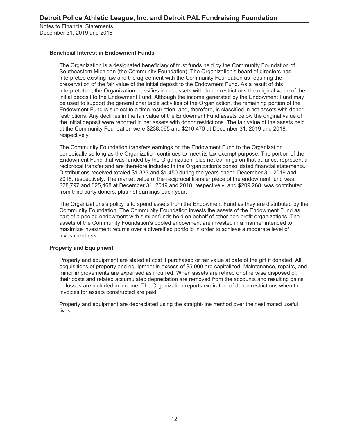## **Beneficial Interest in Endowment Funds**

The Organization is a designated beneficiary of trust funds held by the Community Foundation of Southeastern Michigan (the Community Foundation). The Organization's board of directors has interpreted existing law and the agreement with the Community Foundation as requiring the preservation of the fair value of the initial deposit to the Endowment Fund. As a result of this interpretation, the Organization classifies in net assets with donor restrictions the original value of the initial deposit to the Endowment Fund. Although the income generated by the Endowment Fund may be used to support the general charitable activities of the Organization, the remaining portion of the Endowment Fund is subject to a time restriction, and, therefore, is classified in net assets with donor restrictions. Any declines in the fair value of the Endowment Fund assets below the original value of the initial deposit were reported in net assets with donor restrictions. The fair value of the assets held at the Community Foundation were \$238,065 and \$210,470 at December 31, 2019 and 2018, respectively.

The Community Foundation transfers earnings on the Endowment Fund to the Organization periodically so long as the Organization continues to meet its tax-exempt purpose. The portion of the Endowment Fund that was funded by the Organization, plus net earnings on that balance, represent a reciprocal transfer and are therefore included in the Organization's consolidated financial statements. Distributions received totaled \$1,333 and \$1,450 during the years ended December 31, 2019 and 2018, respectively. The market value of the reciprocal transfer piece of the endowment fund was \$28,797 and \$25,468 at December 31, 2019 and 2018, respectively, and \$209,268 was contributed from third party donors, plus net earnings each year.

The Organizations's policy is to spend assets from the Endowment Fund as they are distributed by the Community Foundation. The Community Foundation invests the assets of the Endowment Fund as part of a pooled endowment with similar funds held on behalf of other non-profit organizations. The assets of the Community Foundation's pooled endowment are invested in a manner intended to maximize investment returns over a diversified portfolio in order to achieve a moderate level of investment risk.

## **Property and Equipment**

Property and equipment are stated at cost if purchased or fair value at date of the gift if donated. All acquisitions of property and equipment in excess of \$5,000 are capitalized. Maintenance, repairs, and minor improvements are expensed as incurred. When assets are retired or otherwise disposed of, their costs and related accumulated depreciation are removed from the accounts and resulting gains or losses are included in income. The Organization reports expiration of donor restrictions when the invoices for assets constructed are paid.

Property and equipment are depreciated using the straight-line method over their estimated useful lives.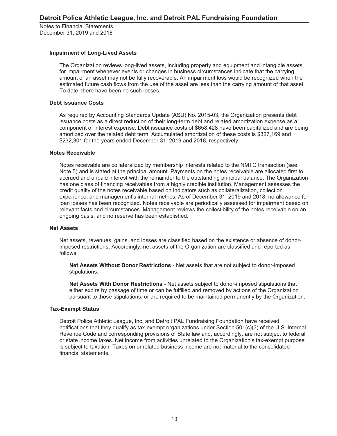#### **Impairment of Long-Lived Assets**

The Organization reviews long-lived assets, including property and equipment and intangible assets, for impairment whenever events or changes in business circumstances indicate that the carrying amount of an asset may not be fully recoverable. An impairment loss would be recognized when the estimated future cash flows from the use of the asset are less than the carrying amount of that asset. To date, there have been no such losses.

### **Debt Issuance Costs**

As required by Accounting Standards Update (ASU) No. 2015-03, the Organization presents debt issuance costs as a direct reduction of their long-term debt and related amortization expense as a component of interest expense. Debt issuance costs of \$658,428 have been capitalized and are being amortized over the related debt term. Accumulated amortization of these costs is \$327,169 and \$232,301 for the years ended December 31, 2019 and 2018, respectively.

### **Notes Receivable**

Notes receivable are collateralized by membership interests related to the NMTC transaction (see Note 5) and is stated at the principal amount. Payments on the notes receivable are allocated first to accrued and unpaid interest with the remainder to the outstanding principal balance. The Organization has one class of financing receivables from a highly credible institution. Management assesses the credit quality of the notes receivable based on indicators such as collateralization, collection experience, and management's internal metrics. As of December 31, 2019 and 2018, no allowance for loan losses has been recognized. Notes receivable are periodically assessed for impairment based on relevant facts and circumstances. Management reviews the collectibility of the notes receivable on an ongoing basis, and no reserve has been established.

#### **Net Assets**

Net assets, revenues, gains, and losses are classified based on the existence or absence of donorimposed restrictions. Accordingly, net assets of the Organization are classified and reported as follows:

**Net Assets Without Donor Restrictions** - Net assets that are not subject to donor-imposed stipulations.

**Net Assets With Donor Restrictions** - Net assets subject to donor-imposed stipulations that either expire by passage of time or can be fulfilled and removed by actions of the Organization pursuant to those stipulations, or are required to be maintained permanently by the Organization.

#### **Tax-Exempt Status**

Detroit Police Athletic League, Inc. and Detroit PAL Fundraising Foundation have received notifications that they qualify as tax-exempt organizations under Section 501(c)(3) of the U.S. Internal Revenue Code and corresponding provisions of State law and, accordingly, are not subject to federal or state income taxes. Net income from activities unrelated to the Organization's tax-exempt purpose is subject to taxation. Taxes on unrelated business income are not material to the consolidated financial statements.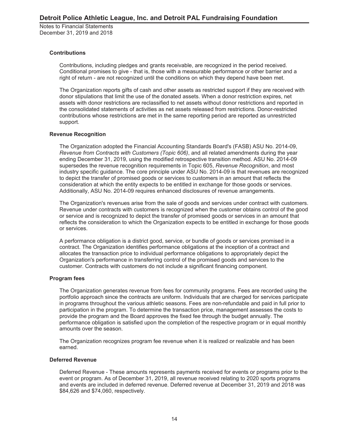## **Contributions**

Contributions, including pledges and grants receivable, are recognized in the period received. Conditional promises to give - that is, those with a measurable performance or other barrier and a right of return - are not recognized until the conditions on which they depend have been met.

The Organization reports gifts of cash and other assets as restricted support if they are received with donor stipulations that limit the use of the donated assets. When a donor restriction expires, net assets with donor restrictions are reclassified to net assets without donor restrictions and reported in the consolidated statements of activities as net assets released from restrictions. Donor-restricted contributions whose restrictions are met in the same reporting period are reported as unrestricted support.

### **Revenue Recognition**

The Organization adopted the Financial Accounting Standards Board's (FASB) ASU No. 2014-09, *Revenue from Contracts with Customers (Topic 606)*, and all related amendments during the year ending December 31, 2019, using the modified retrospective transition method. ASU No. 2014-09 supersedes the revenue recognition requirements in Topic 605, *Revenue Recognition*, and most industry specific guidance. The core principle under ASU No. 2014-09 is that revenues are recognized to depict the transfer of promised goods or services to customers in an amount that reflects the consideration at which the entity expects to be entitled in exchange for those goods or services. Additionally, ASU No. 2014-09 requires enhanced disclosures of revenue arrangements.

The Organization's revenues arise from the sale of goods and services under contract with customers. Revenue under contracts with customers is recognized when the customer obtains control of the good or service and is recognized to depict the transfer of promised goods or services in an amount that reflects the consideration to which the Organization expects to be entitled in exchange for those goods or services.

A performance obligation is a district good, service, or bundle of goods or services promised in a contract. The Organization identifies performance obligations at the inception of a contract and allocates the transaction price to individual performance obligations to appropriately depict the Organization's performance in transferring control of the promised goods and services to the customer. Contracts with customers do not include a significant financing component.

## **Program fees**

The Organization generates revenue from fees for community programs. Fees are recorded using the portfolio approach since the contracts are uniform. Individuals that are charged for services participate in programs throughout the various athletic seasons. Fees are non-refundable and paid in full prior to participation in the program. To determine the transaction price, management assesses the costs to provide the program and the Board approves the fixed fee through the budget annually. The performance obligation is satisfied upon the completion of the respective program or in equal monthly amounts over the season.

The Organization recognizes program fee revenue when it is realized or realizable and has been earned.

#### **Deferred Revenue**

Deferred Revenue - These amounts represents payments received for events or programs prior to the event or program. As of December 31, 2019, all revenue received relating to 2020 sports programs and events are included in deferred revenue. Deferred revenue at December 31, 2019 and 2018 was \$84,626 and \$74,060, respectively.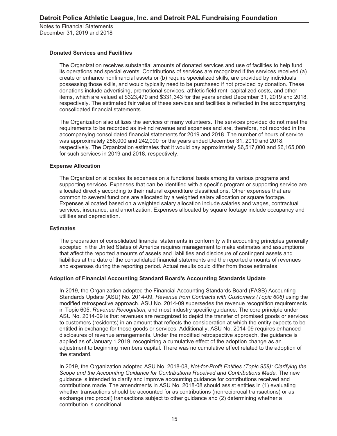#### **Donated Services and Facilities**

The Organization receives substantial amounts of donated services and use of facilities to help fund its operations and special events. Contributions of services are recognized if the services received (a) create or enhance nonfinancial assets or (b) require specialized skills, are provided by individuals possessing those skills, and would typically need to be purchased if not provided by donation. These donations include advertising, promotional services, athletic field rent, capitalized costs, and other items, which are valued at \$323,470 and \$331,343 for the years ended December 31, 2019 and 2018, respectively. The estimated fair value of these services and facilities is reflected in the accompanying consolidated financial statements.

The Organization also utilizes the services of many volunteers. The services provided do not meet the requirements to be recorded as in-kind revenue and expenses and are, therefore, not recorded in the accompanying consolidated financial statements for 2019 and 2018. The number of hours of service was approximately 256,000 and 242,000 for the years ended December 31, 2019 and 2018, respectively. The Organization estimates that it would pay approximately \$6,517,000 and \$6,165,000 for such services in 2019 and 2018, respectively.

### **Expense Allocation**

The Organization allocates its expenses on a functional basis among its various programs and supporting services. Expenses that can be identified with a specific program or supporting service are allocated directly according to their natural expenditure classifications. Other expenses that are common to several functions are allocated by a weighted salary allocation or square footage. Expenses allocated based on a weighted salary allocation include salaries and wages, contractual services, insurance, and amortization. Expenses allocated by square footage include occupancy and utilities and depreciation.

#### **Estimates**

The preparation of consolidated financial statements in conformity with accounting principles generally accepted in the United States of America requires management to make estimates and assumptions that affect the reported amounts of assets and liabilities and disclosure of contingent assets and liabilities at the date of the consolidated financial statements and the reported amounts of revenues and expenses during the reporting period. Actual results could differ from those estimates.

## **Adoption of Financial Accounting Standard Board's Accounting Standards Update**

In 2019, the Organization adopted the Financial Accounting Standards Board (FASB) Accounting Standards Update (ASU) No. 2014-09, *Revenue from Contracts with Customers (Topic 606)* using the modified retrospective approach. ASU No. 2014-09 supersedes the revenue recognition requirements in Topic 605, *Revenue Recognition,* and most industry specific guidance. The core principle under ASU No. 2014-09 is that revenues are recognized to depict the transfer of promised goods or services to customers (residents) in an amount that reflects the consideration at which the entity expects to be entitled in exchange for those goods or services. Additionally, ASU No. 2014-09 requires enhanced disclosures of revenue arrangements. Under the modified retrospective approach, the guidance is applied as of January 1 2019, recognizing a cumulative effect of the adoption change as an adjustment to beginning members capital. There was no cumulative effect related to the adoption of the standard.

In 2019, the Organization adopted ASU No. 2018-08, *Not-for-Profit Entities (Topic 958): Clarifying the Scope and the Accounting Guidance for Contributions Received and Contributions Made.* The new guidance is intended to clarify and improve accounting guidance for contributions received and contributions made. The amendments in ASU No. 2018-08 should assist entities in (1) evaluating whether transactions should be accounted for as contributions (nonreciprocal transactions) or as exchange (reciprocal) transactions subject to other guidance and (2) determining whether a contribution is conditional.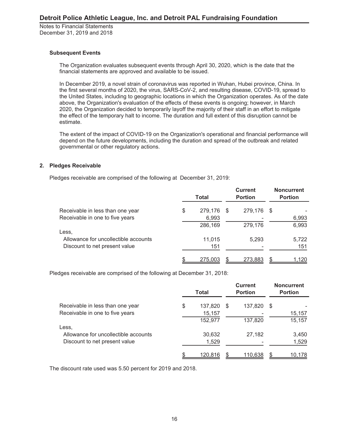## **Subsequent Events**

The Organization evaluates subsequent events through April 30, 2020, which is the date that the financial statements are approved and available to be issued.

In December 2019, a novel strain of coronavirus was reported in Wuhan, Hubei province, China. In the first several months of 2020, the virus, SARS-CoV-2, and resulting disease, COVID-19, spread to the United States, including to geographic locations in which the Organization operates. As of the date above, the Organization's evaluation of the effects of these events is ongoing; however, in March 2020, the Organization decided to temporarily layoff the majority of their staff in an effort to mitigate the effect of the temporary halt to income. The duration and full extent of this disruption cannot be estimate.

The extent of the impact of COVID-19 on the Organization's operational and financial performance will depend on the future developments, including the duration and spread of the outbreak and related governmental or other regulatory actions.

## **2. Pledges Receivable**

Pledges receivable are comprised of the following at December 31, 2019:

|                                      | <b>Total</b> |         |      | <b>Current</b><br><b>Portion</b> | <b>Noncurrent</b><br><b>Portion</b> |       |  |
|--------------------------------------|--------------|---------|------|----------------------------------|-------------------------------------|-------|--|
| Receivable in less than one year     | \$           | 279,176 | - \$ | 279,176                          | - \$                                |       |  |
| Receivable in one to five years      |              | 6,993   |      |                                  |                                     | 6,993 |  |
|                                      |              | 286,169 |      | 279,176                          |                                     | 6,993 |  |
| Less,                                |              |         |      |                                  |                                     |       |  |
| Allowance for uncollectible accounts |              | 11.015  |      | 5.293                            |                                     | 5,722 |  |
| Discount to net present value        |              | 151     |      |                                  |                                     | 151   |  |
|                                      |              | 275,003 |      | 273,883                          |                                     | 1,120 |  |

Pledges receivable are comprised of the following at December 31, 2018:

|                                      | Total |         |   | <b>Current</b><br><b>Portion</b> |     | <b>Noncurrent</b><br><b>Portion</b> |
|--------------------------------------|-------|---------|---|----------------------------------|-----|-------------------------------------|
| Receivable in less than one year     | \$    | 137,820 | S | 137,820                          | \$. |                                     |
| Receivable in one to five years      |       | 15,157  |   |                                  |     | 15,157                              |
|                                      |       | 152,977 |   | 137,820                          |     | 15,157                              |
| Less,                                |       |         |   |                                  |     |                                     |
| Allowance for uncollectible accounts |       | 30,632  |   | 27,182                           |     | 3,450                               |
| Discount to net present value        |       | 1,529   |   |                                  |     | 1,529                               |
|                                      |       | 120,816 |   | 110,638                          |     | 10.178                              |

The discount rate used was 5.50 percent for 2019 and 2018.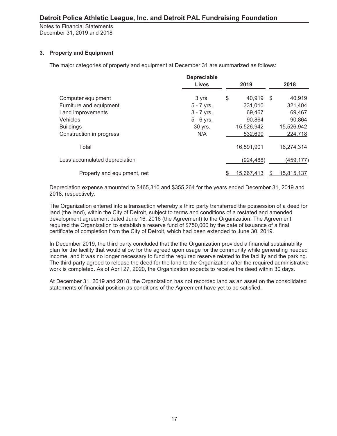## **3. Property and Equipment**

The major categories of property and equipment at December 31 are summarized as follows:

|                               | <b>Depreciable</b><br><b>Lives</b> | 2019         |      | 2018       |
|-------------------------------|------------------------------------|--------------|------|------------|
| Computer equipment            | 3 yrs.                             | \$<br>40,919 | - \$ | 40,919     |
| Furniture and equipment       | $5 - 7$ yrs.                       | 331,010      |      | 321,404    |
| Land improvements             | $3 - 7$ yrs.                       | 69,467       |      | 69,467     |
| <b>Vehicles</b>               | $5 - 6$ yrs.                       | 90,864       |      | 90,864     |
| <b>Buildings</b>              | 30 yrs.                            | 15,526,942   |      | 15,526,942 |
| Construction in progress      | N/A                                | 532,699      |      | 224,718    |
| Total                         |                                    | 16,591,901   |      | 16,274,314 |
| Less accumulated depreciation |                                    | (924, 488)   |      | (459, 177) |
| Property and equipment, net   |                                    | 15,667,413   |      | 15,815,137 |

Depreciation expense amounted to \$465,310 and \$355,264 for the years ended December 31, 2019 and 2018, respectively.

The Organization entered into a transaction whereby a third party transferred the possession of a deed for land (the land), within the City of Detroit, subject to terms and conditions of a restated and amended development agreement dated June 16, 2016 (the Agreement) to the Organization. The Agreement required the Organization to establish a reserve fund of \$750,000 by the date of issuance of a final certificate of completion from the City of Detroit, which had been extended to June 30, 2019.

In December 2019, the third party concluded that the the Organization provided a financial sustainability plan for the facility that would allow for the agreed upon usage for the community while generating needed income, and it was no longer necessary to fund the required reserve related to the facility and the parking. The third party agreed to release the deed for the land to the Organization after the required administrative work is completed. As of April 27, 2020, the Organization expects to receive the deed within 30 days.

At December 31, 2019 and 2018, the Organization has not recorded land as an asset on the consolidated statements of financial position as conditions of the Agreement have yet to be satisfied.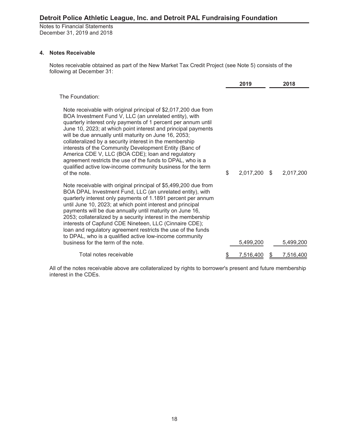Notes to Financial Statements December 31, 2019 and 2018

## **4. Notes Receivable**

Notes receivable obtained as part of the New Market Tax Credit Project (see Note 5) consists of the following at December 31:

|                                                                                                                                                                                                                                                                                                                                                                                                                                                                                                                                                                                                                                             | 2019            |      | 2018             |
|---------------------------------------------------------------------------------------------------------------------------------------------------------------------------------------------------------------------------------------------------------------------------------------------------------------------------------------------------------------------------------------------------------------------------------------------------------------------------------------------------------------------------------------------------------------------------------------------------------------------------------------------|-----------------|------|------------------|
| The Foundation:                                                                                                                                                                                                                                                                                                                                                                                                                                                                                                                                                                                                                             |                 |      |                  |
| Note receivable with original principal of \$2,017,200 due from<br>BOA Investment Fund V, LLC (an unrelated entity), with<br>quarterly interest only payments of 1 percent per annum until<br>June 10, 2023; at which point interest and principal payments<br>will be due annually until maturity on June 16, 2053;<br>collateralized by a security interest in the membership<br>interests of the Community Development Entity (Banc of<br>America CDE V, LLC (BOA CDE); loan and regulatory<br>agreement restricts the use of the funds to DPAL, who is a<br>qualified active low-income community business for the term<br>of the note. | \$<br>2,017,200 | - \$ | 2,017,200        |
| Note receivable with original principal of \$5,499,200 due from<br>BOA DPAL Investment Fund, LLC (an unrelated entity), with<br>quarterly interest only payments of 1.1891 percent per annum<br>until June 10, 2023; at which point interest and principal<br>payments will be due annually until maturity on June 16,<br>2053; collateralized by a security interest in the membership<br>interests of Capfund CDE Nineteen, LLC (Cinnaire CDE);<br>loan and regulatory agreement restricts the use of the funds<br>to DPAL, who is a qualified active low-income community<br>business for the term of the note.                          | 5,499,200       |      | 5,499,200        |
| Total notes receivable                                                                                                                                                                                                                                                                                                                                                                                                                                                                                                                                                                                                                      | \$<br>7,516,400 |      | <u>7,516,400</u> |

All of the notes receivable above are collateralized by rights to borrower's present and future membership interest in the CDEs.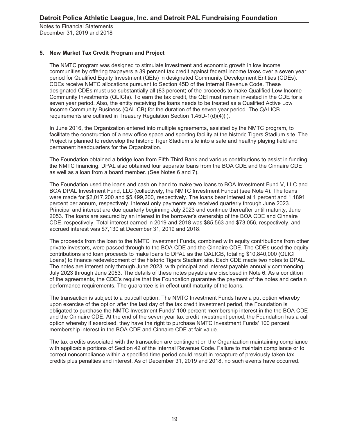## **5. New Market Tax Credit Program and Project**

The NMTC program was designed to stimulate investment and economic growth in low income communities by offering taxpayers a 39 percent tax credit against federal income taxes over a seven year period for Qualified Equity Investment (QEIs) in designated Community Development Entities (CDEs). CDEs receive NMTC allocations pursuant to Section 45D of the Internal Revenue Code. These designated CDEs must use substantially all (83 percent) of the proceeds to make Qualified Low Income Community Investments (QLICIs). To earn the tax credit, the QEI must remain invested in the CDE for a seven year period. Also, the entity receiving the loans needs to be treated as a Qualified Active Low Income Community Business (QALICB) for the duration of the seven year period. The QALICB requirements are outlined in Treasury Regulation Section 1.45D-1(d)(4)(i).

In June 2016, the Organization entered into multiple agreements, assisted by the NMTC program, to facilitate the construction of a new office space and sporting facility at the historic Tigers Stadium site. The Project is planned to redevelop the historic Tiger Stadium site into a safe and healthy playing field and permanent headquarters for the Organization.

The Foundation obtained a bridge loan from Fifth Third Bank and various contributions to assist in funding the NMTC financing. DPAL also obtained four separate loans from the BOA CDE and the Cinnaire CDE as well as a loan from a board member. (See Notes 6 and 7).

The Foundation used the loans and cash on hand to make two loans to BOA Investment Fund V, LLC and BOA DPAL Investment Fund, LLC (collectively, the NMTC Investment Funds) (see Note 4). The loans were made for \$2,017,200 and \$5,499,200, respectively. The loans bear interest at 1 percent and 1.1891 percent per annum, respectively. Interest only payments are received quarterly through June 2023. Principal and interest are due quarterly beginning July 2023 and continue thereafter until maturity, June 2053. The loans are secured by an interest in the borrower's ownership of the BOA CDE and Cinnaire CDE, respectively. Total interest earned in 2019 and 2018 was \$85,563 and \$73,056, respectively, and accrued interest was \$7,130 at December 31, 2019 and 2018.

The proceeds from the loan to the NMTC Investment Funds, combined with equity contributions from other private investors, were passed through to the BOA CDE and the Cinnaire CDE. The CDEs used the equity contributions and loan proceeds to make loans to DPAL as the QALICB, totaling \$10,840,000 (QLICI Loans) to finance redevelopment of the historic Tigers Stadium site. Each CDE made two notes to DPAL. The notes are interest only through June 2023, with principal and interest payable annually commencing July 2023 through June 2053. The details of these notes payable are disclosed in Note 6. As a condition of the agreements, the CDE's require that the Foundation guarantee the payment of the notes and certain performance requirements. The guarantee is in effect until maturity of the loans.

The transaction is subject to a put/call option. The NMTC Investment Funds have a put option whereby upon exercise of the option after the last day of the tax credit investment period, the Foundation is obligated to purchase the NMTC Investment Funds' 100 percent membership interest in the the BOA CDE and the Cinnaire CDE. At the end of the seven year tax credit investment period, the Foundation has a call option whereby if exercised, they have the right to purchase NMTC Investment Funds' 100 percent membership interest in the BOA CDE and Cinnaire CDE at fair value.

The tax credits associated with the transaction are contingent on the Organization maintaining compliance with applicable portions of Section 42 of the Internal Revenue Code. Failure to maintain compliance or to correct noncompliance within a specified time period could result in recapture of previously taken tax credits plus penalties and interest. As of December 31, 2019 and 2018, no such events have occurred.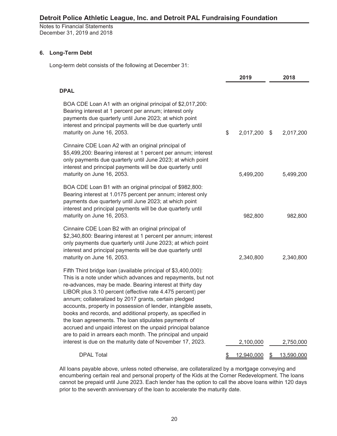Notes to Financial Statements December 31, 2019 and 2018

## **6. Long-Term Debt**

Long-term debt consists of the following at December 31:

|                                                                                                                                                                                                                                                                                                                                                                                                                                                                                                                                                                                                                                                                                                      |              | 2019       | 2018             |
|------------------------------------------------------------------------------------------------------------------------------------------------------------------------------------------------------------------------------------------------------------------------------------------------------------------------------------------------------------------------------------------------------------------------------------------------------------------------------------------------------------------------------------------------------------------------------------------------------------------------------------------------------------------------------------------------------|--------------|------------|------------------|
| <b>DPAL</b>                                                                                                                                                                                                                                                                                                                                                                                                                                                                                                                                                                                                                                                                                          |              |            |                  |
| BOA CDE Loan A1 with an original principal of \$2,017,200:<br>Bearing interest at 1 percent per annum; interest only<br>payments due quarterly until June 2023; at which point<br>interest and principal payments will be due quarterly until<br>maturity on June 16, 2053.                                                                                                                                                                                                                                                                                                                                                                                                                          | $\mathbb{S}$ | 2,017,200  | \$<br>2,017,200  |
| Cinnaire CDE Loan A2 with an original principal of<br>\$5,499,200: Bearing interest at 1 percent per annum; interest<br>only payments due quarterly until June 2023; at which point<br>interest and principal payments will be due quarterly until<br>maturity on June 16, 2053.                                                                                                                                                                                                                                                                                                                                                                                                                     |              | 5,499,200  | 5,499,200        |
| BOA CDE Loan B1 with an original principal of \$982,800:<br>Bearing interest at 1.0175 percent per annum; interest only<br>payments due quarterly until June 2023; at which point<br>interest and principal payments will be due quarterly until<br>maturity on June 16, 2053.                                                                                                                                                                                                                                                                                                                                                                                                                       |              | 982,800    | 982,800          |
| Cinnaire CDE Loan B2 with an original principal of<br>\$2,340,800: Bearing interest at 1 percent per annum; interest<br>only payments due quarterly until June 2023; at which point<br>interest and principal payments will be due quarterly until<br>maturity on June 16, 2053.                                                                                                                                                                                                                                                                                                                                                                                                                     |              | 2,340,800  | 2,340,800        |
| Fifth Third bridge loan (available principal of \$3,400,000):<br>This is a note under which advances and repayments, but not<br>re-advances, may be made. Bearing interest at thirty day<br>LIBOR plus 3.10 percent (effective rate 4.475 percent) per<br>annum; collateralized by 2017 grants, certain pledged<br>accounts, property in possession of lender, intangible assets,<br>books and records, and additional property, as specified in<br>the loan agreements. The loan stipulates payments of<br>accrued and unpaid interest on the unpaid principal balance<br>are to paid in arrears each month. The principal and unpaid<br>interest is due on the maturity date of November 17, 2023. |              | 2,100,000  | 2,750,000        |
| <b>DPAL Total</b>                                                                                                                                                                                                                                                                                                                                                                                                                                                                                                                                                                                                                                                                                    | \$           | 12,940,000 | \$<br>13,590,000 |

All loans payable above, unless noted otherwise, are collateralized by a mortgage conveying and encumbering certain real and personal property of the Kids at the Corner Redevelopment. The loans cannot be prepaid until June 2023. Each lender has the option to call the above loans within 120 days prior to the seventh anniversary of the loan to accelerate the maturity date.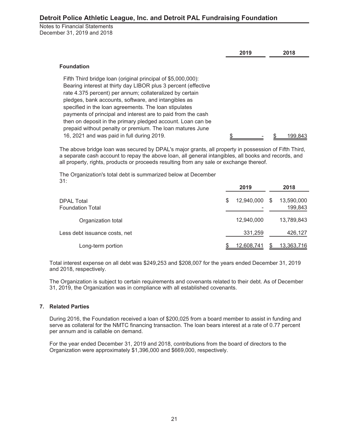Notes to Financial Statements December 31, 2019 and 2018

|                                                                                                                                                                                                                                                                                                                                                                                                                                                                                                                                                       | 2019 | 2018    |
|-------------------------------------------------------------------------------------------------------------------------------------------------------------------------------------------------------------------------------------------------------------------------------------------------------------------------------------------------------------------------------------------------------------------------------------------------------------------------------------------------------------------------------------------------------|------|---------|
| <b>Foundation</b>                                                                                                                                                                                                                                                                                                                                                                                                                                                                                                                                     |      |         |
| Fifth Third bridge loan (original principal of \$5,000,000):<br>Bearing interest at thirty day LIBOR plus 3 percent (effective<br>rate 4.375 percent) per annum; collateralized by certain<br>pledges, bank accounts, software, and intangibles as<br>specified in the loan agreements. The loan stipulates<br>payments of principal and interest are to paid from the cash<br>then on deposit in the primary pledged account. Loan can be<br>prepaid without penalty or premium. The loan matures June<br>16, 2021 and was paid in full during 2019. |      | 199.841 |

The above bridge loan was secured by DPAL's major grants, all property in possession of Fifth Third, a separate cash account to repay the above loan, all general intangibles, all books and records, and all property, rights, products or proceeds resulting from any sale or exchange thereof.

The Organization's total debt is summarized below at December 31:

|                                              | 2019             |   | 2018                  |  |  |
|----------------------------------------------|------------------|---|-----------------------|--|--|
| <b>DPAL Total</b><br><b>Foundation Total</b> | 12,940,000<br>\$ | S | 13,590,000<br>199,843 |  |  |
| Organization total                           | 12,940,000       |   | 13,789,843            |  |  |
| Less debt issuance costs, net                | 331,259          |   | 426,127               |  |  |
| Long-term portion                            | 12,608,741       |   | 13,363,716            |  |  |

Total interest expense on all debt was \$249,253 and \$208,007 for the years ended December 31, 2019 and 2018, respectively.

The Organization is subject to certain requirements and covenants related to their debt. As of December 31, 2019, the Organization was in compliance with all established covenants.

#### **7. Related Parties**

During 2016, the Foundation received a loan of \$200,025 from a board member to assist in funding and serve as collateral for the NMTC financing transaction. The loan bears interest at a rate of 0.77 percent per annum and is callable on demand.

For the year ended December 31, 2019 and 2018, contributions from the board of directors to the Organization were approximately \$1,396,000 and \$669,000, respectively.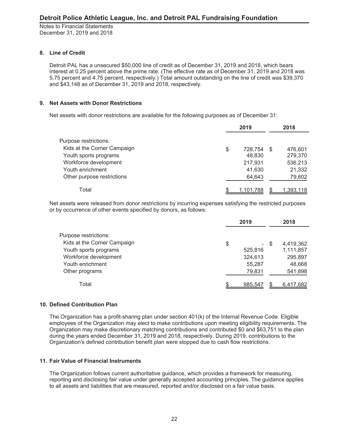## **8. Line of Credit**

Detroit PAL has a unsecured \$50,000 line of credit as of December 31, 2019 and 2018, which bears interest at 0.25 percent above the prime rate. (The effective rate as of December 31, 2019 and 2018 was 5.75 percent and 4.75 percent, respectively.) Total amount outstanding on the line of credit was \$39,370 and \$43,148 as of December 31, 2019 and 2018, respectively.

## **9. Net Assets with Donor Restrictions**

Net assets with donor restrictions are available for the following purposes as of December 31:

|                             | 2019          |      |           |  |
|-----------------------------|---------------|------|-----------|--|
| Purpose restrictions:       |               |      |           |  |
| Kids at the Corner Campaign | \$<br>728,754 | - \$ | 476,601   |  |
| Youth sports programs       | 48,830        |      | 279,370   |  |
| Workforce development       | 217,931       |      | 536,213   |  |
| Youth enrichment            | 41,630        |      | 21,332    |  |
| Other purpose restrictions  | 64,643        |      | 79,602    |  |
| Total                       | 1,101,788     |      | 1,393,118 |  |

Net assets were released from donor restrictions by incurring expenses satisfying the restricted purposes or by occurrence of other events specified by donors, as follows:

|                             |    |                          | 2018 |           |  |
|-----------------------------|----|--------------------------|------|-----------|--|
| Purpose restrictions:       |    |                          |      |           |  |
| Kids at the Corner Campaign | \$ | $\overline{\phantom{0}}$ | - \$ | 4,419,362 |  |
| Youth sports programs       |    | 525,816                  |      | 1,111,857 |  |
| Workforce development       |    | 324,613                  |      | 295,897   |  |
| Youth enrichment            |    | 55,287                   |      | 48,668    |  |
| Other programs              |    | 79,831                   |      | 541,898   |  |
| Total                       | ጦ  | 985.547                  |      | 6,417,682 |  |

## **10. Defined Contribution Plan**

The Organization has a profit-sharing plan under section 401(k) of the Internal Revenue Code. Eligible employees of the Organization may elect to make contributions upon meeting eligibility requirements. The Organization may make discretionary matching contributions and contributed \$0 and \$63,751 to the plan during the years ended December 31, 2019 and 2018, respectively. During 2019, contributions to the Organization's defined contribution benefit plan were stopped due to cash flow restrictions.

## **11. Fair Value of Financial Instruments**

The Organization follows current authoritative guidance, which provides a framework for measuring, reporting and disclosing fair value under generally accepted accounting principles. The guidance applies to all assets and liabilities that are measured, reported and/or disclosed on a fair value basis.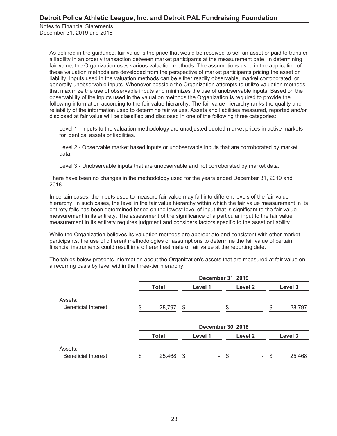> As defined in the guidance, fair value is the price that would be received to sell an asset or paid to transfer a liability in an orderly transaction between market participants at the measurement date. In determining fair value, the Organization uses various valuation methods. The assumptions used in the application of these valuation methods are developed from the perspective of market participants pricing the asset or liability. Inputs used in the valuation methods can be either readily observable, market corroborated, or generally unobservable inputs. Whenever possible the Organization attempts to utilize valuation methods that maximize the use of observable inputs and minimizes the use of unobservable inputs. Based on the observability of the inputs used in the valuation methods the Organization is required to provide the following information according to the fair value hierarchy. The fair value hierarchy ranks the quality and reliability of the information used to determine fair values. Assets and liabilities measured, reported and/or disclosed at fair value will be classified and disclosed in one of the following three categories:

Level 1 - Inputs to the valuation methodology are unadjusted quoted market prices in active markets for identical assets or liabilities.

Level 2 - Observable market based inputs or unobservable inputs that are corroborated by market data.

Level 3 - Unobservable inputs that are unobservable and not corroborated by market data.

There have been no changes in the methodology used for the years ended December 31, 2019 and 2018.

In certain cases, the inputs used to measure fair value may fall into different levels of the fair value hierarchy. In such cases, the level in the fair value hierarchy within which the fair value measurement in its entirety falls has been determined based on the lowest level of input that is significant to the fair value measurement in its entirety. The assessment of the significance of a particular input to the fair value measurement in its entirety requires judgment and considers factors specific to the asset or liability.

While the Organization believes its valuation methods are appropriate and consistent with other market participants, the use of different methodologies or assumptions to determine the fair value of certain financial instruments could result in a different estimate of fair value at the reporting date.

The tables below presents information about the Organization's assets that are measured at fair value on a recurring basis by level within the three-tier hierarchy:

|                                       |              | <b>December 31, 2019</b> |                          |  |         |  |  |  |  |  |  |
|---------------------------------------|--------------|--------------------------|--------------------------|--|---------|--|--|--|--|--|--|
|                                       | <b>Total</b> | Level 1                  | Level 2                  |  | Level 3 |  |  |  |  |  |  |
| Assets:<br><b>Beneficial Interest</b> |              | 28,797                   |                          |  | 28,797  |  |  |  |  |  |  |
|                                       |              |                          | <b>December 30, 2018</b> |  |         |  |  |  |  |  |  |
|                                       | <b>Total</b> | Level 1                  | Level 2                  |  | Level 3 |  |  |  |  |  |  |
| Assets:<br><b>Beneficial Interest</b> |              | 25,468                   | \$                       |  | 25,468  |  |  |  |  |  |  |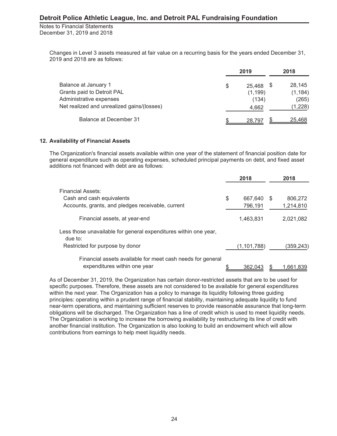Notes to Financial Statements December 31, 2019 and 2018

> Changes in Level 3 assets measured at fair value on a recurring basis for the years ended December 31, 2019 and 2018 are as follows:

|                                            |    | 2018     |               |  |
|--------------------------------------------|----|----------|---------------|--|
| Balance at January 1                       | \$ | 25,468   | 28.145        |  |
| Grants paid to Detroit PAL                 |    | (1, 199) | (1, 184)      |  |
| Administrative expenses                    |    | (134)    | (265)         |  |
| Net realized and unrealized gains/(losses) |    | 4,662    | (1,228)       |  |
| <b>Balance at December 31</b>              |    | 28.797   | <u>25,468</u> |  |

### **12. Availability of Financial Assets**

The Organization's financial assets available within one year of the statement of financial position date for general expenditure such as operating expenses, scheduled principal payments on debt, and fixed asset additions not financed with debt are as follows:

|                                                                                            | 2018          | 2018      |
|--------------------------------------------------------------------------------------------|---------------|-----------|
| <b>Financial Assets:</b>                                                                   |               |           |
| Cash and cash equivalents                                                                  | \$<br>667.640 | 806.272   |
| Accounts, grants, and pledges receivable, current                                          | 796,191       | 1,214,810 |
| Financial assets, at year-end                                                              | 1,463,831     | 2,021,082 |
| Less those unavailable for general expenditures within one year,<br>due to:                |               |           |
| Restricted for purpose by donor                                                            | (1, 101, 788) | (359,243) |
| Financial assets available for meet cash needs for general<br>expenditures within one year | \$<br>362.043 | 1.661.839 |

As of December 31, 2019, the Organization has certain donor-restricted assets that are to be used for specific purposes. Therefore, these assets are not considered to be available for general expenditures within the next year. The Organization has a policy to manage its liquidity following three guiding principles: operating within a prudent range of financial stability, maintaining adequate liquidity to fund near-term operations, and maintaining sufficient reserves to provide reasonable assurance that long-term obligations will be discharged. The Organization has a line of credit which is used to meet liquidity needs. The Organization is working to increase the borrowing availability by restructuring its line of credit with another financial institution. The Organization is also looking to build an endowment which will allow contributions from earnings to help meet liquidity needs.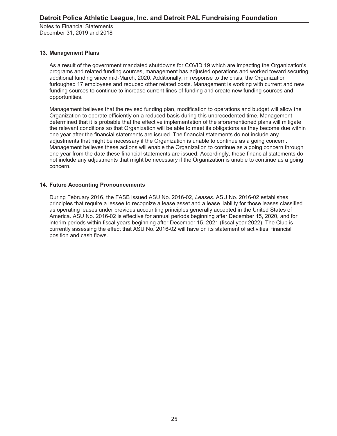## **13. Management Plans**

As a result of the government mandated shutdowns for COVID 19 which are impacting the Organization's programs and related funding sources, management has adjusted operations and worked toward securing additional funding since mid-March, 2020. Additionally, in response to the crisis, the Organization furloughed 17 employees and reduced other related costs. Management is working with current and new funding sources to continue to increase current lines of funding and create new funding sources and opportunities.

Management believes that the revised funding plan, modification to operations and budget will allow the Organization to operate efficiently on a reduced basis during this unprecedented time. Management determined that it is probable that the effective implementation of the aforementioned plans will mitigate the relevant conditions so that Organization will be able to meet its obligations as they become due within one year after the financial statements are issued. The financial statements do not include any adjustments that might be necessary if the Organization is unable to continue as a going concern. Management believes these actions will enable the Organization to continue as a going concern through one year from the date these financial statements are issued. Accordingly, these financial statements do not include any adjustments that might be necessary if the Organization is unable to continue as a going concern.

## **14. Future Accounting Pronouncements**

During February 2016, the FASB issued ASU No. 2016-02, *Leases*. ASU No. 2016-02 establishes principles that require a lessee to recognize a lease asset and a lease liability for those leases classified as operating leases under previous accounting principles generally accepted in the United States of America. ASU No. 2016-02 is effective for annual periods beginning after December 15, 2020, and for interim periods within fiscal years beginning after December 15, 2021 (fiscal year 2022). The Club is currently assessing the effect that ASU No. 2016-02 will have on its statement of activities, financial position and cash flows.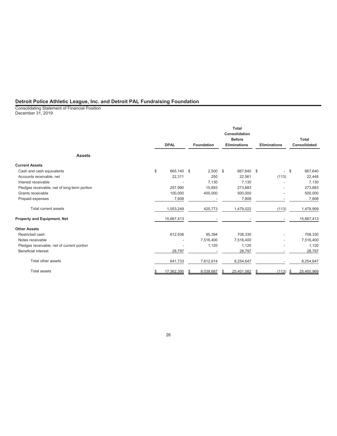Consolidating Statement of Financial Position December 31, 2019

|                                              | <b>DPAL</b>      | <b>Foundation</b> |     | <b>Total</b><br>Consolidation<br><b>Before</b><br><b>Eliminations</b> |   | <b>Eliminations</b> | <b>Total</b><br><b>Consolidated</b> |
|----------------------------------------------|------------------|-------------------|-----|-----------------------------------------------------------------------|---|---------------------|-------------------------------------|
| <b>Assets</b>                                |                  |                   |     |                                                                       |   |                     |                                     |
| <b>Current Assets</b>                        |                  |                   |     |                                                                       |   |                     |                                     |
| Cash and cash equivalents                    | \$<br>665.140 \$ | 2,500             | -\$ | 667,640 \$                                                            |   |                     | \$<br>667,640                       |
| Accounts receivable, net                     | 22,311           | 250               |     | 22,561                                                                |   | (113)               | 22,448                              |
| Interest receivable                          |                  | 7,130             |     | 7,130                                                                 |   |                     | 7,130                               |
| Pledges receivable, net of long-term portion | 257,990          | 15,893            |     | 273,883                                                               |   |                     | 273,883                             |
| Grants receivable                            | 100,000          | 400,000           |     | 500,000                                                               |   |                     | 500,000                             |
| Prepaid expenses                             | 7,808            |                   |     | 7,808                                                                 |   |                     | 7,808                               |
| Total current assets                         | 1,053,249        | 425,773           |     | 1,479,022                                                             |   | (113)               | 1,478,909                           |
| Property and Equipment, Net                  | 15,667,413       |                   |     |                                                                       |   |                     | 15,667,413                          |
| <b>Other Assets</b>                          |                  |                   |     |                                                                       |   |                     |                                     |
| Restricted cash                              | 612,936          | 95,394            |     | 708,330                                                               |   |                     | 708,330                             |
| Notes receivable                             |                  | 7,516,400         |     | 7,516,400                                                             |   |                     | 7,516,400                           |
| Pledges receivable, net of current portion   |                  | 1,120             |     | 1,120                                                                 |   |                     | 1,120                               |
| <b>Beneficial interest</b>                   | 28,797           |                   |     | 28,797                                                                |   |                     | 28,797                              |
| Total other assets                           | 641,733          | 7,612,914         |     | 8,254,647                                                             |   |                     | 8,254,647                           |
| <b>Total assets</b>                          | 17,362,395       | 8,038,687         |     | 25,401,082                                                            | S | (113)               | 25,400,969                          |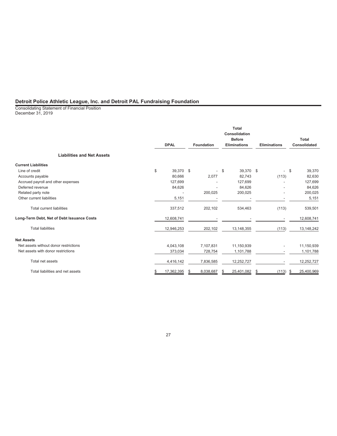Consolidating Statement of Financial Position December 31, 2019

|                                            | <b>DPAL</b>      | <b>Foundation</b>        | <b>Total</b><br>Consolidation<br><b>Before</b><br><b>Eliminations</b> | <b>Eliminations</b> |       |     | Total<br><b>Consolidated</b> |
|--------------------------------------------|------------------|--------------------------|-----------------------------------------------------------------------|---------------------|-------|-----|------------------------------|
| <b>Liabilities and Net Assets</b>          |                  |                          |                                                                       |                     |       |     |                              |
| <b>Current Liabilities</b>                 |                  |                          |                                                                       |                     |       |     |                              |
| Line of credit                             | \$<br>39,370 \$  | $\overline{\phantom{a}}$ | 39,370 \$<br>-\$                                                      |                     |       | -\$ | 39,370                       |
| Accounts payable                           | 80,666           | 2,077                    | 82,743                                                                |                     | (113) |     | 82,630                       |
| Accrued payroll and other expenses         | 127,699          |                          | 127,699                                                               |                     |       |     | 127,699                      |
| Deferred revenue                           | 84,626           |                          | 84,626                                                                |                     |       |     | 84,626                       |
| Related party note                         |                  | 200,025                  | 200,025                                                               |                     |       |     | 200,025                      |
| Other current liabilities                  | 5,151            |                          |                                                                       |                     |       |     | 5,151                        |
| Total current liabilities                  | 337,512          | 202,102                  | 534,463                                                               |                     | (113) |     | 539,501                      |
| Long-Term Debt, Net of Debt Issuance Costs | 12,608,741       |                          |                                                                       |                     | ٠     |     | 12,608,741                   |
| <b>Total liabilities</b>                   | 12,946,253       | 202,102                  | 13, 148, 355                                                          |                     | (113) |     | 13,148,242                   |
| <b>Net Assets</b>                          |                  |                          |                                                                       |                     |       |     |                              |
| Net assets without donor restrictions      | 4,043,108        | 7,107,831                | 11,150,939                                                            |                     |       |     | 11,150,939                   |
| Net assets with donor restrictions         | 373,034          | 728,754                  | 1,101,788                                                             |                     |       |     | 1,101,788                    |
| Total net assets                           | 4,416,142        | 7,836,585                | 12,252,727                                                            |                     |       |     | 12,252,727                   |
| Total liabilities and net assets           | \$<br>17,362,395 | 8,038,687                | 25,401,082                                                            | S                   | (113) |     | 25,400,969                   |